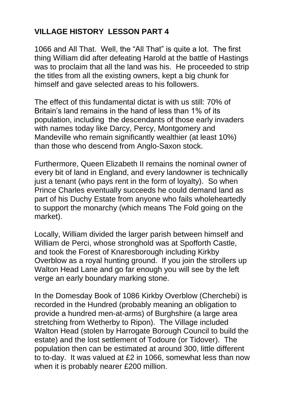## **VILLAGE HISTORY LESSON PART 4**

1066 and All That. Well, the "All That" is quite a lot. The first thing William did after defeating Harold at the battle of Hastings was to proclaim that all the land was his. He proceeded to strip the titles from all the existing owners, kept a big chunk for himself and gave selected areas to his followers.

The effect of this fundamental dictat is with us still: 70% of Britain's land remains in the hand of less than 1% of its population, including the descendants of those early invaders with names today like Darcy, Percy, Montgomery and Mandeville who remain significantly wealthier (at least 10%) than those who descend from Anglo-Saxon stock.

Furthermore, Queen Elizabeth II remains the nominal owner of every bit of land in England, and every landowner is technically just a tenant (who pays rent in the form of loyalty). So when Prince Charles eventually succeeds he could demand land as part of his Duchy Estate from anyone who fails wholeheartedly to support the monarchy (which means The Fold going on the market).

Locally, William divided the larger parish between himself and William de Perci, whose stronghold was at Spofforth Castle, and took the Forest of Knaresborough including Kirkby Overblow as a royal hunting ground. If you join the strollers up Walton Head Lane and go far enough you will see by the left verge an early boundary marking stone.

In the Domesday Book of 1086 Kirkby Overblow (Cherchebi) is recorded in the Hundred (probably meaning an obligation to provide a hundred men-at-arms) of Burghshire (a large area stretching from Wetherby to Ripon). The Village included Walton Head (stolen by Harrogate Borough Council to build the estate) and the lost settlement of Todoure (or Tidover). The population then can be estimated at around 300, little different to to-day. It was valued at £2 in 1066, somewhat less than now when it is probably nearer £200 million.